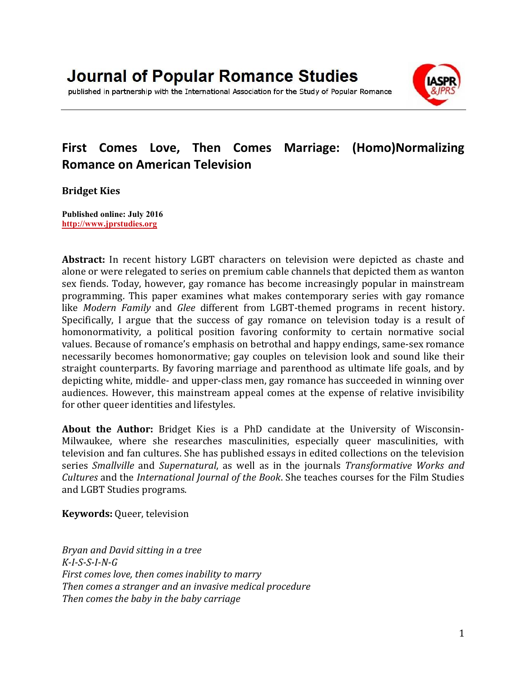published in partnership with the International Association for the Study of Popular Romance

# **First Comes Love, Then Comes Marriage: (Homo)Normalizing Romance on American Television**

#### **Bridget Kies**

**Published online: July 2016 [http://www.jprstudies.org](http://www.jprstudies.org/)**

**Abstract:** In recent history LGBT characters on television were depicted as chaste and alone or were relegated to series on premium cable channels that depicted them as wanton sex fiends. Today, however, gay romance has become increasingly popular in mainstream programming. This paper examines what makes contemporary series with gay romance like *Modern Family* and *Glee* different from LGBT-themed programs in recent history. Specifically, I argue that the success of gay romance on television today is a result of homonormativity, a political position favoring conformity to certain normative social values. Because of romance's emphasis on betrothal and happy endings, same-sex romance necessarily becomes homonormative; gay couples on television look and sound like their straight counterparts. By favoring marriage and parenthood as ultimate life goals, and by depicting white, middle- and upper-class men, gay romance has succeeded in winning over audiences. However, this mainstream appeal comes at the expense of relative invisibility for other queer identities and lifestyles.

**About the Author:** Bridget Kies is a PhD candidate at the University of Wisconsin-Milwaukee, where she researches masculinities, especially queer masculinities, with television and fan cultures. She has published essays in edited collections on the television series *Smallville* and *Supernatural*, as well as in the journals *Transformative Works and Cultures* and the *International Journal of the Book*. She teaches courses for the Film Studies and LGBT Studies programs.

**Keywords:** Queer, television

*Bryan and David sitting in a tree K-I-S-S-I-N-G First comes love, then comes inability to marry Then comes a stranger and an invasive medical procedure Then comes the baby in the baby carriage*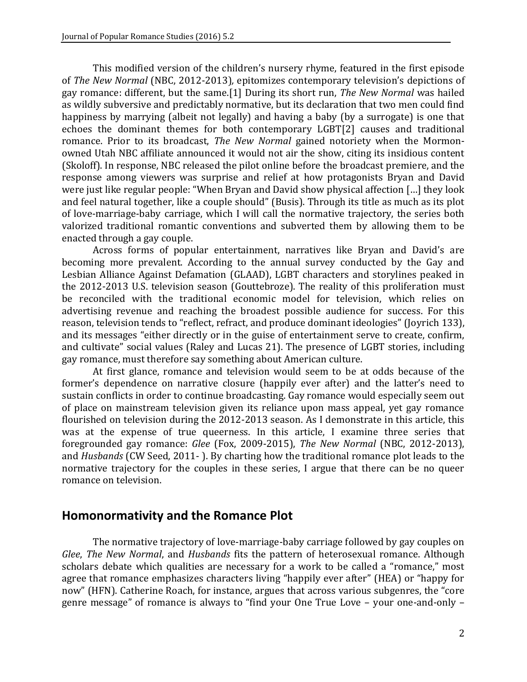This modified version of the children's nursery rhyme, featured in the first episode of *The New Normal* (NBC, 2012-2013)*,* epitomizes contemporary television's depictions of gay romance: different, but the same.[1] During its short run, *The New Normal* was hailed as wildly subversive and predictably normative, but its declaration that two men could find happiness by marrying (albeit not legally) and having a baby (by a surrogate) is one that echoes the dominant themes for both contemporary LGB[T\[2\]](http://jprstudies.org/?p=2646&preview=true#_ftn2) causes and traditional romance. Prior to its broadcast, *The New Normal* gained notoriety when the Mormonowned Utah NBC affiliate announced it would not air the show, citing its insidious content (Skoloff). In response, NBC released the pilot online before the broadcast premiere, and the response among viewers was surprise and relief at how protagonists Bryan and David were just like regular people: "When Bryan and David show physical affection […] they look and feel natural together, like a couple should" (Busis). Through its title as much as its plot of love-marriage-baby carriage, which I will call the normative trajectory, the series both valorized traditional romantic conventions and subverted them by allowing them to be enacted through a gay couple.

Across forms of popular entertainment, narratives like Bryan and David's are becoming more prevalent. According to the annual survey conducted by the Gay and Lesbian Alliance Against Defamation (GLAAD), LGBT characters and storylines peaked in the 2012-2013 U.S. television season (Gouttebroze). The reality of this proliferation must be reconciled with the traditional economic model for television, which relies on advertising revenue and reaching the broadest possible audience for success. For this reason, television tends to "reflect, refract, and produce dominant ideologies" (Joyrich 133), and its messages "either directly or in the guise of entertainment serve to create, confirm, and cultivate" social values (Raley and Lucas 21). The presence of LGBT stories, including gay romance, must therefore say something about American culture.

At first glance, romance and television would seem to be at odds because of the former's dependence on narrative closure (happily ever after) and the latter's need to sustain conflicts in order to continue broadcasting. Gay romance would especially seem out of place on mainstream television given its reliance upon mass appeal, yet gay romance flourished on television during the 2012-2013 season. As I demonstrate in this article, this was at the expense of true queerness. In this article, I examine three series that foregrounded gay romance: *Glee* (Fox, 2009-2015), *The New Normal* (NBC, 2012-2013), and *Husbands* (CW Seed, 2011- ). By charting how the traditional romance plot leads to the normative trajectory for the couples in these series, I argue that there can be no queer romance on television.

### **Homonormativity and the Romance Plot**

The normative trajectory of love-marriage-baby carriage followed by gay couples on *Glee*, *The New Normal*, and *Husbands* fits the pattern of heterosexual romance. Although scholars debate which qualities are necessary for a work to be called a "romance," most agree that romance emphasizes characters living "happily ever after" (HEA) or "happy for now" (HFN). Catherine Roach, for instance, argues that across various subgenres, the "core genre message" of romance is always to "find your One True Love – your one-and-only –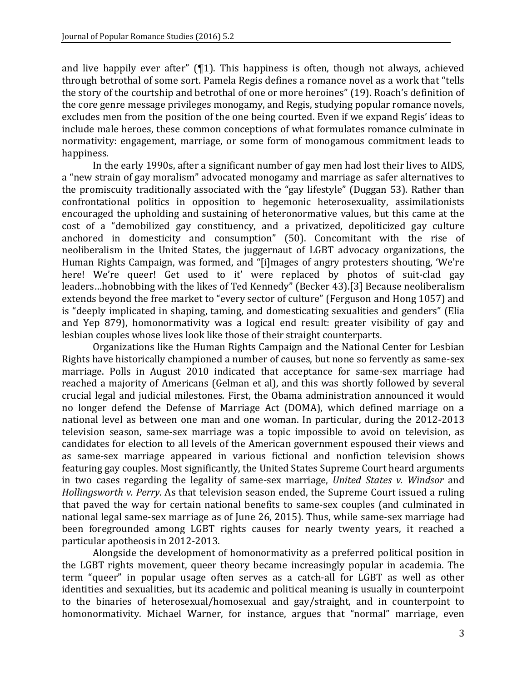and live happily ever after" (¶1). This happiness is often, though not always, achieved through betrothal of some sort. Pamela Regis defines a romance novel as a work that "tells the story of the courtship and betrothal of one or more heroines" (19). Roach's definition of the core genre message privileges monogamy, and Regis, studying popular romance novels, excludes men from the position of the one being courted. Even if we expand Regis' ideas to include male heroes, these common conceptions of what formulates romance culminate in normativity: engagement, marriage, or some form of monogamous commitment leads to happiness.

In the early 1990s, after a significant number of gay men had lost their lives to AIDS, a "new strain of gay moralism" advocated monogamy and marriage as safer alternatives to the promiscuity traditionally associated with the "gay lifestyle" (Duggan 53). Rather than confrontational politics in opposition to hegemonic heterosexuality, assimilationists encouraged the upholding and sustaining of heteronormative values, but this came at the cost of a "demobilized gay constituency, and a privatized, depoliticized gay culture anchored in domesticity and consumption" (50). Concomitant with the rise of neoliberalism in the United States, the juggernaut of LGBT advocacy organizations, the Human Rights Campaign, was formed, and "[i]mages of angry protesters shouting, 'We're here! We're queer! Get used to it' were replaced by photos of suit-clad gay leaders…hobnobbing with the likes of Ted Kennedy" (Becker 43).[\[3\]](http://jprstudies.org/?p=2646&preview=true#_ftn3) Because neoliberalism extends beyond the free market to "every sector of culture" (Ferguson and Hong 1057) and is "deeply implicated in shaping, taming, and domesticating sexualities and genders" (Elia and Yep 879), homonormativity was a logical end result: greater visibility of gay and lesbian couples whose lives look like those of their straight counterparts.

Organizations like the Human Rights Campaign and the National Center for Lesbian Rights have historically championed a number of causes, but none so fervently as same-sex marriage. Polls in August 2010 indicated that acceptance for same-sex marriage had reached a majority of Americans (Gelman et al), and this was shortly followed by several crucial legal and judicial milestones. First, the Obama administration announced it would no longer defend the Defense of Marriage Act (DOMA), which defined marriage on a national level as between one man and one woman. In particular, during the 2012-2013 television season, same-sex marriage was a topic impossible to avoid on television, as candidates for election to all levels of the American government espoused their views and as same-sex marriage appeared in various fictional and nonfiction television shows featuring gay couples. Most significantly, the United States Supreme Court heard arguments in two cases regarding the legality of same-sex marriage, *United States v. Windsor* and *Hollingsworth v. Perry*. As that television season ended, the Supreme Court issued a ruling that paved the way for certain national benefits to same-sex couples (and culminated in national legal same-sex marriage as of June 26, 2015). Thus, while same-sex marriage had been foregrounded among LGBT rights causes for nearly twenty years, it reached a particular apotheosis in 2012-2013.

Alongside the development of homonormativity as a preferred political position in the LGBT rights movement, queer theory became increasingly popular in academia. The term "queer" in popular usage often serves as a catch-all for LGBT as well as other identities and sexualities, but its academic and political meaning is usually in counterpoint to the binaries of heterosexual/homosexual and gay/straight, and in counterpoint to homonormativity. Michael Warner, for instance, argues that "normal" marriage, even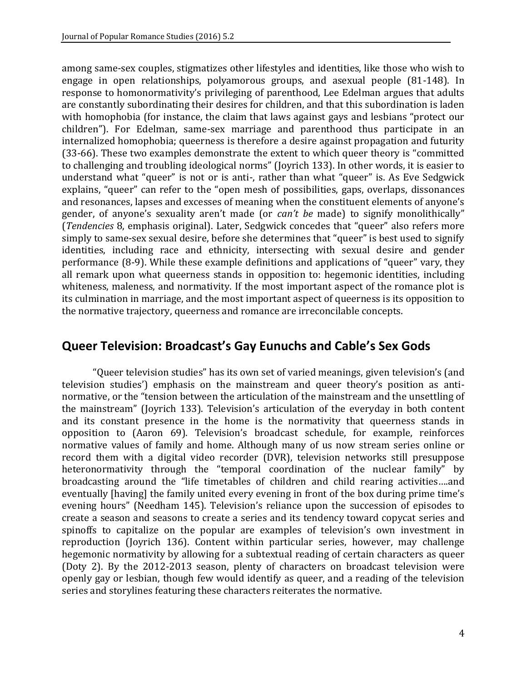among same-sex couples, stigmatizes other lifestyles and identities, like those who wish to engage in open relationships, polyamorous groups, and asexual people (81-148). In response to homonormativity's privileging of parenthood, Lee Edelman argues that adults are constantly subordinating their desires for children, and that this subordination is laden with homophobia (for instance, the claim that laws against gays and lesbians "protect our children"). For Edelman, same-sex marriage and parenthood thus participate in an internalized homophobia; queerness is therefore a desire against propagation and futurity (33-66). These two examples demonstrate the extent to which queer theory is "committed to challenging and troubling ideological norms" (Joyrich 133). In other words, it is easier to understand what "queer" is not or is anti-, rather than what "queer" is. As Eve Sedgwick explains, "queer" can refer to the "open mesh of possibilities, gaps, overlaps, dissonances and resonances, lapses and excesses of meaning when the constituent elements of anyone's gender, of anyone's sexuality aren't made (or *can't be* made) to signify monolithically" (*Tendencies* 8, emphasis original). Later, Sedgwick concedes that "queer" also refers more simply to same-sex sexual desire, before she determines that "queer" is best used to signify identities, including race and ethnicity, intersecting with sexual desire and gender performance (8-9). While these example definitions and applications of "queer" vary, they all remark upon what queerness stands in opposition to: hegemonic identities, including whiteness, maleness, and normativity. If the most important aspect of the romance plot is its culmination in marriage, and the most important aspect of queerness is its opposition to the normative trajectory, queerness and romance are irreconcilable concepts.

## **Queer Television: Broadcast's Gay Eunuchs and Cable's Sex Gods**

"Queer television studies" has its own set of varied meanings, given television's (and television studies') emphasis on the mainstream and queer theory's position as antinormative, or the "tension between the articulation of the mainstream and the unsettling of the mainstream" (Joyrich 133). Television's articulation of the everyday in both content and its constant presence in the home is the normativity that queerness stands in opposition to (Aaron 69). Television's broadcast schedule, for example, reinforces normative values of family and home. Although many of us now stream series online or record them with a digital video recorder (DVR), television networks still presuppose heteronormativity through the "temporal coordination of the nuclear family" by broadcasting around the "life timetables of children and child rearing activities….and eventually [having] the family united every evening in front of the box during prime time's evening hours" (Needham 145). Television's reliance upon the succession of episodes to create a season and seasons to create a series and its tendency toward copycat series and spinoffs to capitalize on the popular are examples of television's own investment in reproduction (Joyrich 136). Content within particular series, however, may challenge hegemonic normativity by allowing for a subtextual reading of certain characters as queer (Doty 2). By the 2012-2013 season, plenty of characters on broadcast television were openly gay or lesbian, though few would identify as queer, and a reading of the television series and storylines featuring these characters reiterates the normative.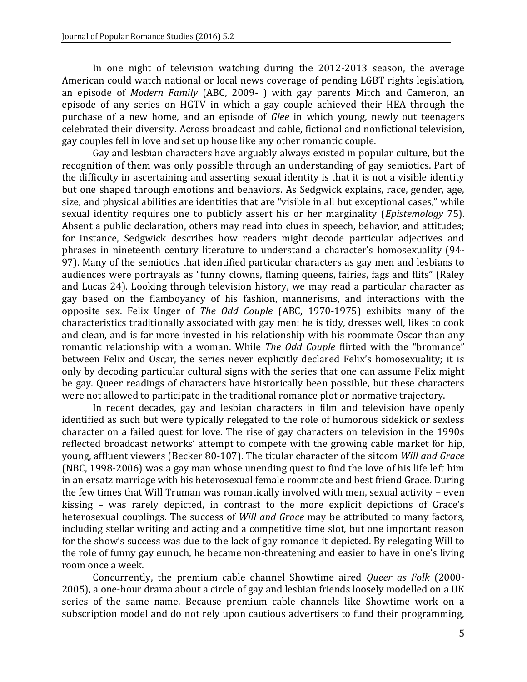In one night of television watching during the 2012-2013 season, the average American could watch national or local news coverage of pending LGBT rights legislation, an episode of *Modern Family* (ABC, 2009- ) with gay parents Mitch and Cameron, an episode of any series on HGTV in which a gay couple achieved their HEA through the purchase of a new home, and an episode of *Glee* in which young, newly out teenagers celebrated their diversity. Across broadcast and cable, fictional and nonfictional television, gay couples fell in love and set up house like any other romantic couple.

Gay and lesbian characters have arguably always existed in popular culture, but the recognition of them was only possible through an understanding of gay semiotics. Part of the difficulty in ascertaining and asserting sexual identity is that it is not a visible identity but one shaped through emotions and behaviors. As Sedgwick explains, race, gender, age, size, and physical abilities are identities that are "visible in all but exceptional cases," while sexual identity requires one to publicly assert his or her marginality (*Epistemology* 75). Absent a public declaration, others may read into clues in speech, behavior, and attitudes; for instance, Sedgwick describes how readers might decode particular adjectives and phrases in nineteenth century literature to understand a character's homosexuality (94- 97). Many of the semiotics that identified particular characters as gay men and lesbians to audiences were portrayals as "funny clowns, flaming queens, fairies, fags and flits" (Raley and Lucas 24). Looking through television history, we may read a particular character as gay based on the flamboyancy of his fashion, mannerisms, and interactions with the opposite sex. Felix Unger of *The Odd Couple* (ABC, 1970-1975) exhibits many of the characteristics traditionally associated with gay men: he is tidy, dresses well, likes to cook and clean, and is far more invested in his relationship with his roommate Oscar than any romantic relationship with a woman. While *The Odd Couple* flirted with the "bromance" between Felix and Oscar, the series never explicitly declared Felix's homosexuality; it is only by decoding particular cultural signs with the series that one can assume Felix might be gay. Queer readings of characters have historically been possible, but these characters were not allowed to participate in the traditional romance plot or normative trajectory.

In recent decades, gay and lesbian characters in film and television have openly identified as such but were typically relegated to the role of humorous sidekick or sexless character on a failed quest for love. The rise of gay characters on television in the 1990s reflected broadcast networks' attempt to compete with the growing cable market for hip, young, affluent viewers (Becker 80-107). The titular character of the sitcom *Will and Grace* (NBC, 1998-2006) was a gay man whose unending quest to find the love of his life left him in an ersatz marriage with his heterosexual female roommate and best friend Grace. During the few times that Will Truman was romantically involved with men, sexual activity – even kissing – was rarely depicted, in contrast to the more explicit depictions of Grace's heterosexual couplings. The success of *Will and Grace* may be attributed to many factors, including stellar writing and acting and a competitive time slot, but one important reason for the show's success was due to the lack of gay romance it depicted. By relegating Will to the role of funny gay eunuch, he became non-threatening and easier to have in one's living room once a week.

Concurrently, the premium cable channel Showtime aired *Queer as Folk* (2000- 2005), a one-hour drama about a circle of gay and lesbian friends loosely modelled on a UK series of the same name. Because premium cable channels like Showtime work on a subscription model and do not rely upon cautious advertisers to fund their programming,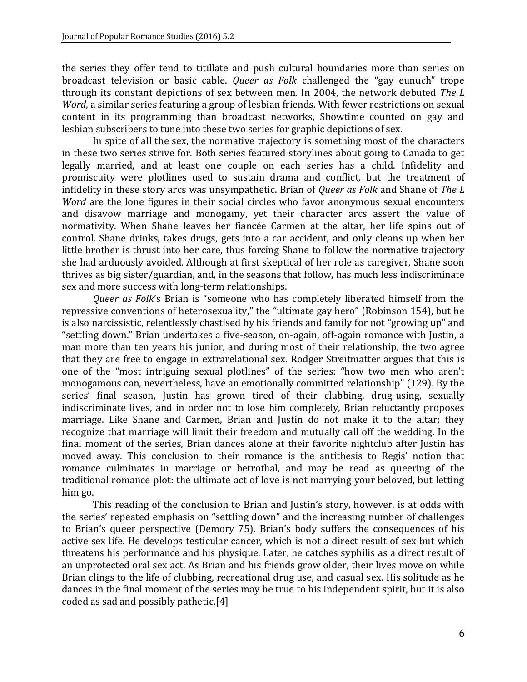the series they offer tend to titillate and push cultural boundaries more than series on broadcast television or basic cable. *Queer as Folk* challenged the "gay eunuch" trope through its constant depictions of sex between men. In 2004, the network debuted *The L Word*, a similar series featuring a group of lesbian friends. With fewer restrictions on sexual content in its programming than broadcast networks, Showtime counted on gay and lesbian subscribers to tune into these two series for graphic depictions of sex.

In spite of all the sex, the normative trajectory is something most of the characters in these two series strive for. Both series featured storylines about going to Canada to get legally married, and at least one couple on each series has a child. Infidelity and promiscuity were plotlines used to sustain drama and conflict, but the treatment of infidelity in these story arcs was unsympathetic. Brian of *Queer as Folk* and Shane of *The L Word* are the lone figures in their social circles who favor anonymous sexual encounters and disavow marriage and monogamy, yet their character arcs assert the value of normativity. When Shane leaves her fiancée Carmen at the altar, her life spins out of control. Shane drinks, takes drugs, gets into a car accident, and only cleans up when her little brother is thrust into her care, thus forcing Shane to follow the normative trajectory she had arduously avoided. Although at first skeptical of her role as caregiver, Shane soon thrives as big sister/guardian, and, in the seasons that follow, has much less indiscriminate sex and more success with long-term relationships.

*Queer as Folk*'s Brian is "someone who has completely liberated himself from the repressive conventions of heterosexuality," the "ultimate gay hero" (Robinson 154), but he is also narcissistic, relentlessly chastised by his friends and family for not "growing up" and "settling down." Brian undertakes a five-season, on-again, off-again romance with Justin, a man more than ten years his junior, and during most of their relationship, the two agree that they are free to engage in extrarelational sex. Rodger Streitmatter argues that this is one of the "most intriguing sexual plotlines" of the series: "how two men who aren't monogamous can, nevertheless, have an emotionally committed relationship" (129). By the series' final season, Justin has grown tired of their clubbing, drug-using, sexually indiscriminate lives, and in order not to lose him completely, Brian reluctantly proposes marriage. Like Shane and Carmen, Brian and Justin do not make it to the altar; they recognize that marriage will limit their freedom and mutually call off the wedding. In the final moment of the series, Brian dances alone at their favorite nightclub after Justin has moved away. This conclusion to their romance is the antithesis to Regis' notion that romance culminates in marriage or betrothal, and may be read as queering of the traditional romance plot: the ultimate act of love is not marrying your beloved, but letting him go.

This reading of the conclusion to Brian and Justin's story, however, is at odds with the series' repeated emphasis on "settling down" and the increasing number of challenges to Brian's queer perspective (Demory 75). Brian's body suffers the consequences of his active sex life. He develops testicular cancer, which is not a direct result of sex but which threatens his performance and his physique. Later, he catches syphilis as a direct result of an unprotected oral sex act. As Brian and his friends grow older, their lives move on while Brian clings to the life of clubbing, recreational drug use, and casual sex. His solitude as he dances in the final moment of the series may be true to his independent spirit, but it is also coded as sad and possibly patheti[c.\[4\]](http://jprstudies.org/?p=2646&preview=true#_ftn4)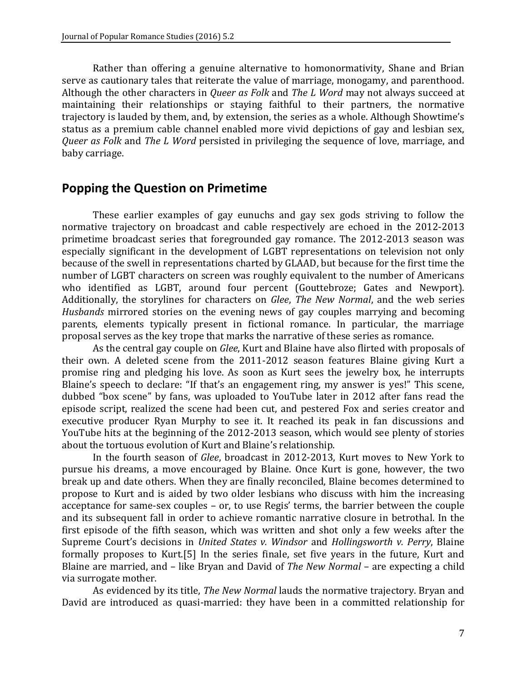Rather than offering a genuine alternative to homonormativity, Shane and Brian serve as cautionary tales that reiterate the value of marriage, monogamy, and parenthood. Although the other characters in *Queer as Folk* and *The L Word* may not always succeed at maintaining their relationships or staying faithful to their partners, the normative trajectory is lauded by them, and, by extension, the series as a whole. Although Showtime's status as a premium cable channel enabled more vivid depictions of gay and lesbian sex, *Queer as Folk* and *The L Word* persisted in privileging the sequence of love, marriage, and baby carriage.

### **Popping the Question on Primetime**

These earlier examples of gay eunuchs and gay sex gods striving to follow the normative trajectory on broadcast and cable respectively are echoed in the 2012-2013 primetime broadcast series that foregrounded gay romance. The 2012-2013 season was especially significant in the development of LGBT representations on television not only because of the swell in representations charted by GLAAD, but because for the first time the number of LGBT characters on screen was roughly equivalent to the number of Americans who identified as LGBT, around four percent (Gouttebroze; Gates and Newport). Additionally, the storylines for characters on *Glee*, *The New Normal*, and the web series *Husbands* mirrored stories on the evening news of gay couples marrying and becoming parents, elements typically present in fictional romance. In particular, the marriage proposal serves as the key trope that marks the narrative of these series as romance.

As the central gay couple on *Glee*, Kurt and Blaine have also flirted with proposals of their own. A deleted scene from the 2011-2012 season features Blaine giving Kurt a promise ring and pledging his love. As soon as Kurt sees the jewelry box, he interrupts Blaine's speech to declare: "If that's an engagement ring, my answer is yes!" This scene, dubbed "box scene" by fans, was uploaded to YouTube later in 2012 after fans read the episode script, realized the scene had been cut, and pestered Fox and series creator and executive producer Ryan Murphy to see it. It reached its peak in fan discussions and YouTube hits at the beginning of the 2012-2013 season, which would see plenty of stories about the tortuous evolution of Kurt and Blaine's relationship.

In the fourth season of *Glee*, broadcast in 2012-2013, Kurt moves to New York to pursue his dreams, a move encouraged by Blaine. Once Kurt is gone, however, the two break up and date others. When they are finally reconciled, Blaine becomes determined to propose to Kurt and is aided by two older lesbians who discuss with him the increasing acceptance for same-sex couples – or, to use Regis' terms, the barrier between the couple and its subsequent fall in order to achieve romantic narrative closure in betrothal. In the first episode of the fifth season, which was written and shot only a few weeks after the Supreme Court's decisions in *United States v. Windsor* and *Hollingsworth v. Perry*, Blaine formally proposes to Kurt[.\[5\]](http://jprstudies.org/?p=2646&preview=true#_ftn5) In the series finale, set five years in the future, Kurt and Blaine are married, and – like Bryan and David of *The New Normal* – are expecting a child via surrogate mother.

As evidenced by its title, *The New Normal* lauds the normative trajectory. Bryan and David are introduced as quasi-married: they have been in a committed relationship for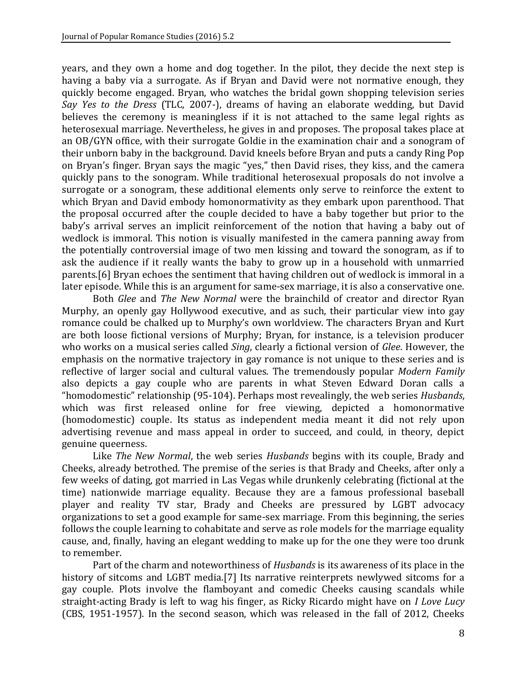years, and they own a home and dog together. In the pilot, they decide the next step is having a baby via a surrogate. As if Bryan and David were not normative enough, they quickly become engaged. Bryan, who watches the bridal gown shopping television series *Say Yes to the Dress* (TLC, 2007-), dreams of having an elaborate wedding, but David believes the ceremony is meaningless if it is not attached to the same legal rights as heterosexual marriage. Nevertheless, he gives in and proposes. The proposal takes place at an OB/GYN office, with their surrogate Goldie in the examination chair and a sonogram of their unborn baby in the background. David kneels before Bryan and puts a candy Ring Pop on Bryan's finger. Bryan says the magic "yes," then David rises, they kiss, and the camera quickly pans to the sonogram. While traditional heterosexual proposals do not involve a surrogate or a sonogram, these additional elements only serve to reinforce the extent to which Bryan and David embody homonormativity as they embark upon parenthood. That the proposal occurred after the couple decided to have a baby together but prior to the baby's arrival serves an implicit reinforcement of the notion that having a baby out of wedlock is immoral. This notion is visually manifested in the camera panning away from the potentially controversial image of two men kissing and toward the sonogram, as if to ask the audience if it really wants the baby to grow up in a household with unmarried parent[s.\[6\]](http://jprstudies.org/?p=2646&preview=true#_ftn6) Bryan echoes the sentiment that having children out of wedlock is immoral in a later episode. While this is an argument for same-sex marriage, it is also a conservative one.

Both *Glee* and *The New Normal* were the brainchild of creator and director Ryan Murphy, an openly gay Hollywood executive, and as such, their particular view into gay romance could be chalked up to Murphy's own worldview. The characters Bryan and Kurt are both loose fictional versions of Murphy; Bryan, for instance, is a television producer who works on a musical series called *Sing*, clearly a fictional version of *Glee*. However, the emphasis on the normative trajectory in gay romance is not unique to these series and is reflective of larger social and cultural values. The tremendously popular *Modern Family* also depicts a gay couple who are parents in what Steven Edward Doran calls a "homodomestic" relationship (95-104). Perhaps most revealingly, the web series *Husbands*, which was first released online for free viewing, depicted a homonormative (homodomestic) couple. Its status as independent media meant it did not rely upon advertising revenue and mass appeal in order to succeed, and could, in theory, depict genuine queerness.

Like *The New Normal*, the web series *Husbands* begins with its couple, Brady and Cheeks, already betrothed. The premise of the series is that Brady and Cheeks, after only a few weeks of dating, got married in Las Vegas while drunkenly celebrating (fictional at the time) nationwide marriage equality. Because they are a famous professional baseball player and reality TV star, Brady and Cheeks are pressured by LGBT advocacy organizations to set a good example for same-sex marriage. From this beginning, the series follows the couple learning to cohabitate and serve as role models for the marriage equality cause, and, finally, having an elegant wedding to make up for the one they were too drunk to remember.

Part of the charm and noteworthiness of *Husbands* is its awareness of its place in the history of sitcoms and LGBT media[.\[7\]](http://jprstudies.org/?p=2646&preview=true#_ftn7) Its narrative reinterprets newlywed sitcoms for a gay couple. Plots involve the flamboyant and comedic Cheeks causing scandals while straight-acting Brady is left to wag his finger, as Ricky Ricardo might have on *I Love Lucy* (CBS, 1951-1957). In the second season, which was released in the fall of 2012, Cheeks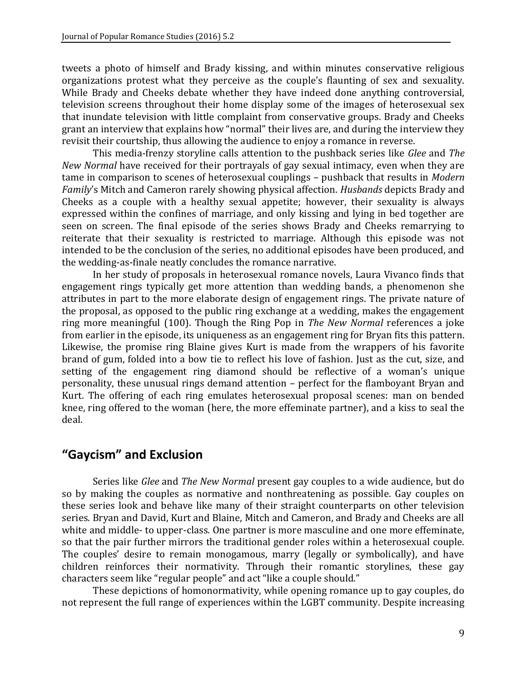tweets a photo of himself and Brady kissing, and within minutes conservative religious organizations protest what they perceive as the couple's flaunting of sex and sexuality. While Brady and Cheeks debate whether they have indeed done anything controversial, television screens throughout their home display some of the images of heterosexual sex that inundate television with little complaint from conservative groups. Brady and Cheeks grant an interview that explains how "normal" their lives are, and during the interview they revisit their courtship, thus allowing the audience to enjoy a romance in reverse.

This media-frenzy storyline calls attention to the pushback series like *Glee* and *The New Normal* have received for their portrayals of gay sexual intimacy, even when they are tame in comparison to scenes of heterosexual couplings – pushback that results in *Modern Family*'s Mitch and Cameron rarely showing physical affection. *Husbands* depicts Brady and Cheeks as a couple with a healthy sexual appetite; however, their sexuality is always expressed within the confines of marriage, and only kissing and lying in bed together are seen on screen. The final episode of the series shows Brady and Cheeks remarrying to reiterate that their sexuality is restricted to marriage. Although this episode was not intended to be the conclusion of the series, no additional episodes have been produced, and the wedding-as-finale neatly concludes the romance narrative.

In her study of proposals in heterosexual romance novels, Laura Vivanco finds that engagement rings typically get more attention than wedding bands, a phenomenon she attributes in part to the more elaborate design of engagement rings. The private nature of the proposal, as opposed to the public ring exchange at a wedding, makes the engagement ring more meaningful (100). Though the Ring Pop in *The New Normal* references a joke from earlier in the episode, its uniqueness as an engagement ring for Bryan fits this pattern. Likewise, the promise ring Blaine gives Kurt is made from the wrappers of his favorite brand of gum, folded into a bow tie to reflect his love of fashion. Just as the cut, size, and setting of the engagement ring diamond should be reflective of a woman's unique personality, these unusual rings demand attention – perfect for the flamboyant Bryan and Kurt. The offering of each ring emulates heterosexual proposal scenes: man on bended knee, ring offered to the woman (here, the more effeminate partner), and a kiss to seal the deal.

# **"Gaycism" and Exclusion**

Series like *Glee* and *The New Normal* present gay couples to a wide audience, but do so by making the couples as normative and nonthreatening as possible. Gay couples on these series look and behave like many of their straight counterparts on other television series. Bryan and David, Kurt and Blaine, Mitch and Cameron, and Brady and Cheeks are all white and middle- to upper-class. One partner is more masculine and one more effeminate, so that the pair further mirrors the traditional gender roles within a heterosexual couple. The couples' desire to remain monogamous, marry (legally or symbolically), and have children reinforces their normativity. Through their romantic storylines, these gay characters seem like "regular people" and act "like a couple should."

These depictions of homonormativity, while opening romance up to gay couples, do not represent the full range of experiences within the LGBT community. Despite increasing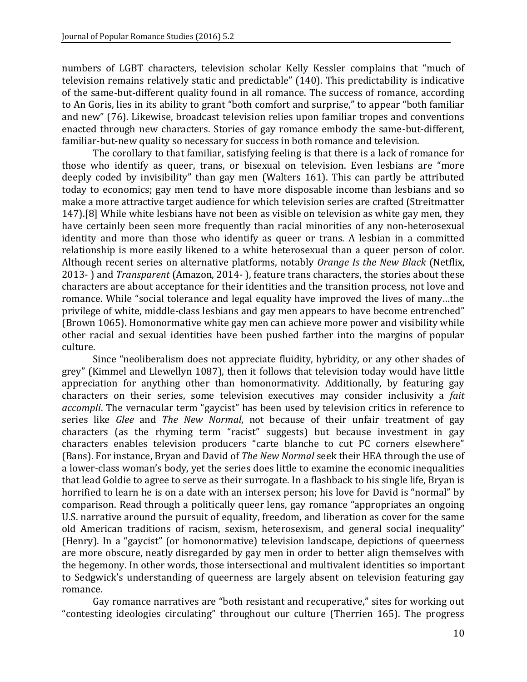numbers of LGBT characters, television scholar Kelly Kessler complains that "much of television remains relatively static and predictable" (140). This predictability is indicative of the same-but-different quality found in all romance. The success of romance, according to An Goris, lies in its ability to grant "both comfort and surprise," to appear "both familiar and new" (76). Likewise, broadcast television relies upon familiar tropes and conventions enacted through new characters. Stories of gay romance embody the same-but-different, familiar-but-new quality so necessary for success in both romance and television.

The corollary to that familiar, satisfying feeling is that there is a lack of romance for those who identify as queer, trans, or bisexual on television. Even lesbians are "more deeply coded by invisibility" than gay men (Walters 161). This can partly be attributed today to economics; gay men tend to have more disposable income than lesbians and so make a more attractive target audience for which television series are crafted (Streitmatter 147)[.\[8\]](http://jprstudies.org/?p=2646&preview=true#_ftn8) While white lesbians have not been as visible on television as white gay men, they have certainly been seen more frequently than racial minorities of any non-heterosexual identity and more than those who identify as queer or trans. A lesbian in a committed relationship is more easily likened to a white heterosexual than a queer person of color. Although recent series on alternative platforms, notably *Orange Is the New Black* (Netflix, 2013- ) and *Transparent* (Amazon, 2014- ), feature trans characters, the stories about these characters are about acceptance for their identities and the transition process, not love and romance. While "social tolerance and legal equality have improved the lives of many…the privilege of white, middle-class lesbians and gay men appears to have become entrenched" (Brown 1065). Homonormative white gay men can achieve more power and visibility while other racial and sexual identities have been pushed farther into the margins of popular culture.

Since "neoliberalism does not appreciate fluidity, hybridity, or any other shades of grey" (Kimmel and Llewellyn 1087), then it follows that television today would have little appreciation for anything other than homonormativity. Additionally, by featuring gay characters on their series, some television executives may consider inclusivity a *fait accompli*. The vernacular term "gaycist" has been used by television critics in reference to series like *Glee* and *The New Normal*, not because of their unfair treatment of gay characters (as the rhyming term "racist" suggests) but because investment in gay characters enables television producers "carte blanche to cut PC corners elsewhere" (Bans). For instance, Bryan and David of *The New Normal* seek their HEA through the use of a lower-class woman's body, yet the series does little to examine the economic inequalities that lead Goldie to agree to serve as their surrogate. In a flashback to his single life, Bryan is horrified to learn he is on a date with an intersex person; his love for David is "normal" by comparison. Read through a politically queer lens, gay romance "appropriates an ongoing U.S. narrative around the pursuit of equality, freedom, and liberation as cover for the same old American traditions of racism, sexism, heterosexism, and general social inequality" (Henry). In a "gaycist" (or homonormative) television landscape, depictions of queerness are more obscure, neatly disregarded by gay men in order to better align themselves with the hegemony. In other words, those intersectional and multivalent identities so important to Sedgwick's understanding of queerness are largely absent on television featuring gay romance.

Gay romance narratives are "both resistant and recuperative," sites for working out "contesting ideologies circulating" throughout our culture (Therrien 165). The progress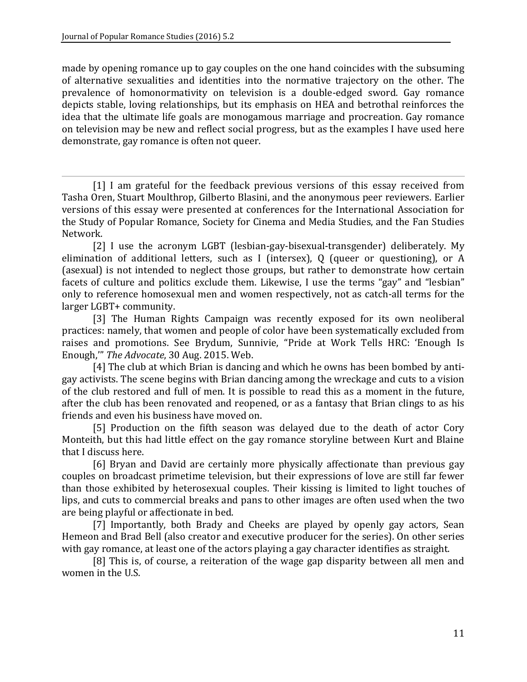made by opening romance up to gay couples on the one hand coincides with the subsuming of alternative sexualities and identities into the normative trajectory on the other. The prevalence of homonormativity on television is a double-edged sword. Gay romance depicts stable, loving relationships, but its emphasis on HEA and betrothal reinforces the idea that the ultimate life goals are monogamous marriage and procreation. Gay romance on television may be new and reflect social progress, but as the examples I have used here demonstrate, gay romance is often not queer.

[1] I am grateful for the feedback previous versions of this essay received from Tasha Oren, Stuart Moulthrop, Gilberto Blasini, and the anonymous peer reviewers. Earlier versions of this essay were presented at conferences for the International Association for the Study of Popular Romance, Society for Cinema and Media Studies, and the Fan Studies Network.

[2] I use the acronym LGBT (lesbian-gay-bisexual-transgender) deliberately. My elimination of additional letters, such as I (intersex), Q (queer or questioning), or A (asexual) is not intended to neglect those groups, but rather to demonstrate how certain facets of culture and politics exclude them. Likewise, I use the terms "gay" and "lesbian" only to reference homosexual men and women respectively, not as catch-all terms for the larger LGBT+ community.

[3] The Human Rights Campaign was recently exposed for its own neoliberal practices: namely, that women and people of color have been systematically excluded from raises and promotions. See Brydum, Sunnivie, "Pride at Work Tells HRC: 'Enough Is Enough,'" *The Advocate*, 30 Aug. 2015. Web.

[4] The club at which Brian is dancing and which he owns has been bombed by antigay activists. The scene begins with Brian dancing among the wreckage and cuts to a vision of the club restored and full of men. It is possible to read this as a moment in the future, after the club has been renovated and reopened, or as a fantasy that Brian clings to as his friends and even his business have moved on.

[5] Production on the fifth season was delayed due to the death of actor Cory Monteith, but this had little effect on the gay romance storyline between Kurt and Blaine that I discuss here.

[6] Bryan and David are certainly more physically affectionate than previous gay couples on broadcast primetime television, but their expressions of love are still far fewer than those exhibited by heterosexual couples. Their kissing is limited to light touches of lips, and cuts to commercial breaks and pans to other images are often used when the two are being playful or affectionate in bed.

[7] Importantly, both Brady and Cheeks are played by openly gay actors, Sean Hemeon and Brad Bell (also creator and executive producer for the series). On other series with gay romance, at least one of the actors playing a gay character identifies as straight.

[8] This is, of course, a reiteration of the wage gap disparity between all men and women in the U.S.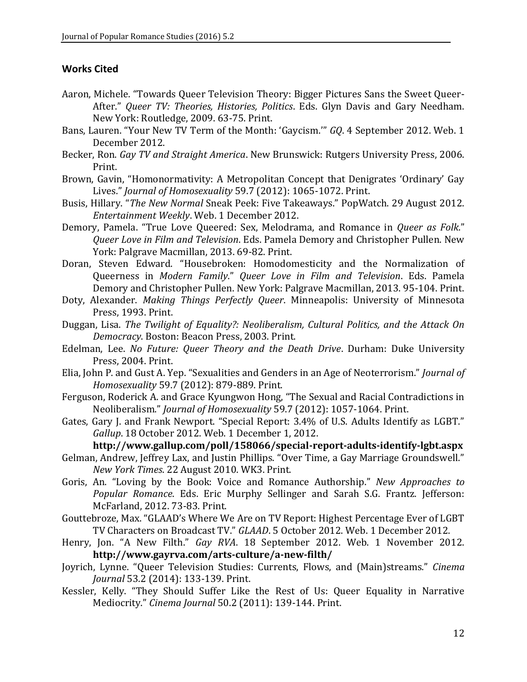#### **Works Cited**

- Aaron, Michele. "Towards Queer Television Theory: Bigger Pictures Sans the Sweet Queer-After." *Queer TV: Theories, Histories, Politics*. Eds. Glyn Davis and Gary Needham. New York: Routledge, 2009. 63-75. Print.
- Bans, Lauren. "Your New TV Term of the Month: 'Gaycism.'" *GQ*. 4 September 2012. Web. 1 December 2012.
- Becker, Ron. *Gay TV and Straight America*. New Brunswick: Rutgers University Press, 2006. Print.
- Brown, Gavin, "Homonormativity: A Metropolitan Concept that Denigrates 'Ordinary' Gay Lives." *Journal of Homosexuality* 59.7 (2012): 1065-1072. Print.
- Busis, Hillary. "*The New Normal* Sneak Peek: Five Takeaways." PopWatch. 29 August 2012. *Entertainment Weekly*. Web. 1 December 2012.
- Demory, Pamela. "True Love Queered: Sex, Melodrama, and Romance in *Queer as Folk*." *Queer Love in Film and Television*. Eds. Pamela Demory and Christopher Pullen. New York: Palgrave Macmillan, 2013. 69-82. Print.
- Doran, Steven Edward. "Housebroken: Homodomesticity and the Normalization of Queerness in *Modern Family*." *Queer Love in Film and Television*. Eds. Pamela Demory and Christopher Pullen. New York: Palgrave Macmillan, 2013. 95-104. Print.
- Doty, Alexander. *Making Things Perfectly Queer*. Minneapolis: University of Minnesota Press, 1993. Print.
- Duggan, Lisa. *The Twilight of Equality?: Neoliberalism, Cultural Politics, and the Attack On Democracy*. Boston: Beacon Press, 2003. Print.
- Edelman, Lee. *No Future: Queer Theory and the Death Drive*. Durham: Duke University Press, 2004. Print.
- Elia, John P. and Gust A. Yep. "Sexualities and Genders in an Age of Neoterrorism." *Journal of Homosexuality* 59.7 (2012): 879-889. Print.
- Ferguson, Roderick A. and Grace Kyungwon Hong, "The Sexual and Racial Contradictions in Neoliberalism." *Journal of Homosexuality* 59.7 (2012): 1057-1064. Print.
- Gates, Gary J. and Frank Newport. "Special Report: 3.4% of U.S. Adults Identify as LGBT." *Gallup*. 18 October 2012. Web. 1 December 1, 2012.

**<http://www.gallup.com/poll/158066/special-report-adults-identify-lgbt.aspx>**

- Gelman, Andrew, Jeffrey Lax, and Justin Phillips. "Over Time, a Gay Marriage Groundswell." *New York Times*. 22 August 2010. WK3. Print.
- Goris, An. "Loving by the Book: Voice and Romance Authorship." *New Approaches to Popular Romance*. Eds. Eric Murphy Sellinger and Sarah S.G. Frantz. Jefferson: McFarland, 2012. 73-83. Print.
- Gouttebroze, Max. "GLAAD's Where We Are on TV Report: Highest Percentage Ever of LGBT TV Characters on Broadcast TV." *GLAAD*. 5 October 2012. Web. 1 December 2012.
- Henry, Jon. "A New Filth." *Gay RVA*. 18 September 2012. Web. 1 November 2012. **<http://www.gayrva.com/arts-culture/a-new-filth/>**
- Joyrich, Lynne. "Queer Television Studies: Currents, Flows, and (Main)streams." *Cinema Journal* 53.2 (2014): 133-139. Print.
- Kessler, Kelly. "They Should Suffer Like the Rest of Us: Queer Equality in Narrative Mediocrity." *Cinema Journal* 50.2 (2011): 139-144. Print.